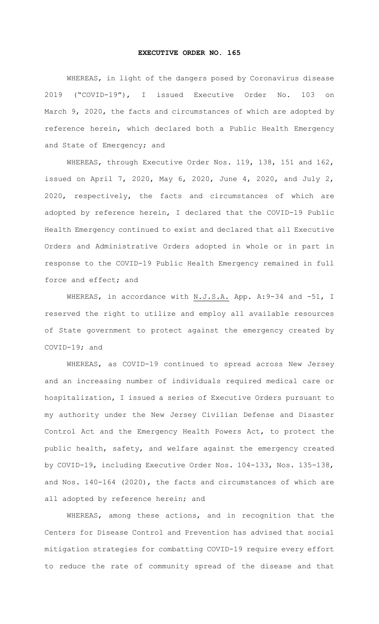## **EXECUTIVE ORDER NO. 165**

WHEREAS, in light of the dangers posed by Coronavirus disease 2019 ("COVID-19"), I issued Executive Order No. 103 on March 9, 2020, the facts and circumstances of which are adopted by reference herein, which declared both a Public Health Emergency and State of Emergency; and

WHEREAS, through Executive Order Nos. 119, 138, 151 and 162, issued on April 7, 2020, May 6, 2020, June 4, 2020, and July 2, 2020, respectively, the facts and circumstances of which are adopted by reference herein, I declared that the COVID-19 Public Health Emergency continued to exist and declared that all Executive Orders and Administrative Orders adopted in whole or in part in response to the COVID-19 Public Health Emergency remained in full force and effect; and

WHEREAS, in accordance with N.J.S.A. App. A: 9-34 and -51, I reserved the right to utilize and employ all available resources of State government to protect against the emergency created by COVID-19; and

WHEREAS, as COVID-19 continued to spread across New Jersey and an increasing number of individuals required medical care or hospitalization, I issued a series of Executive Orders pursuant to my authority under the New Jersey Civilian Defense and Disaster Control Act and the Emergency Health Powers Act, to protect the public health, safety, and welfare against the emergency created by COVID-19, including Executive Order Nos. 104-133, Nos. 135-138, and Nos. 140-164 (2020), the facts and circumstances of which are all adopted by reference herein; and

WHEREAS, among these actions, and in recognition that the Centers for Disease Control and Prevention has advised that social mitigation strategies for combatting COVID-19 require every effort to reduce the rate of community spread of the disease and that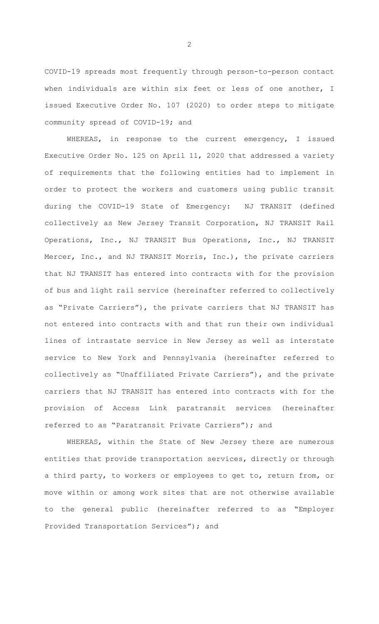COVID-19 spreads most frequently through person-to-person contact when individuals are within six feet or less of one another, I issued Executive Order No. 107 (2020) to order steps to mitigate community spread of COVID-19; and

WHEREAS, in response to the current emergency, I issued Executive Order No. 125 on April 11, 2020 that addressed a variety of requirements that the following entities had to implement in order to protect the workers and customers using public transit during the COVID-19 State of Emergency: NJ TRANSIT (defined collectively as New Jersey Transit Corporation, NJ TRANSIT Rail Operations, Inc., NJ TRANSIT Bus Operations, Inc., NJ TRANSIT Mercer, Inc., and NJ TRANSIT Morris, Inc.), the private carriers that NJ TRANSIT has entered into contracts with for the provision of bus and light rail service (hereinafter referred to collectively as "Private Carriers"), the private carriers that NJ TRANSIT has not entered into contracts with and that run their own individual lines of intrastate service in New Jersey as well as interstate service to New York and Pennsylvania (hereinafter referred to collectively as "Unaffiliated Private Carriers"), and the private carriers that NJ TRANSIT has entered into contracts with for the provision of Access Link paratransit services (hereinafter referred to as "Paratransit Private Carriers"); and

WHEREAS, within the State of New Jersey there are numerous entities that provide transportation services, directly or through a third party, to workers or employees to get to, return from, or move within or among work sites that are not otherwise available to the general public (hereinafter referred to as "Employer Provided Transportation Services"); and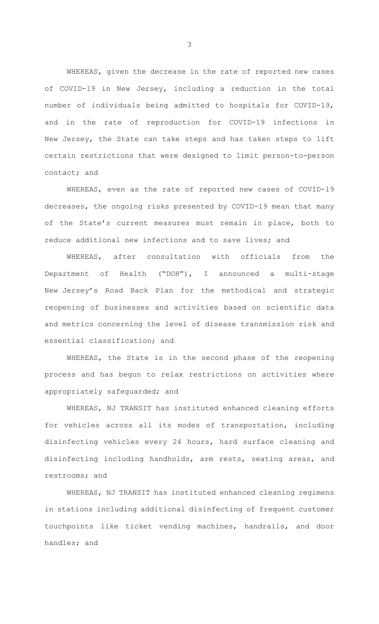WHEREAS, given the decrease in the rate of reported new cases of COVID-19 in New Jersey, including a reduction in the total number of individuals being admitted to hospitals for COVID-19, and in the rate of reproduction for COVID-19 infections in New Jersey, the State can take steps and has taken steps to lift certain restrictions that were designed to limit person-to-person contact; and

WHEREAS, even as the rate of reported new cases of COVID-19 decreases, the ongoing risks presented by COVID-19 mean that many of the State's current measures must remain in place, both to reduce additional new infections and to save lives; and

WHEREAS, after consultation with officials from the Department of Health ("DOH"), I announced a multi-stage New Jersey's Road Back Plan for the methodical and strategic reopening of businesses and activities based on scientific data and metrics concerning the level of disease transmission risk and essential classification; and

WHEREAS, the State is in the second phase of the reopening process and has begun to relax restrictions on activities where appropriately safeguarded; and

WHEREAS, NJ TRANSIT has instituted enhanced cleaning efforts for vehicles across all its modes of transportation, including disinfecting vehicles every 24 hours, hard surface cleaning and disinfecting including handholds, arm rests, seating areas, and restrooms; and

WHEREAS, NJ TRANSIT has instituted enhanced cleaning regimens in stations including additional disinfecting of frequent customer touchpoints like ticket vending machines, handrails, and door handles; and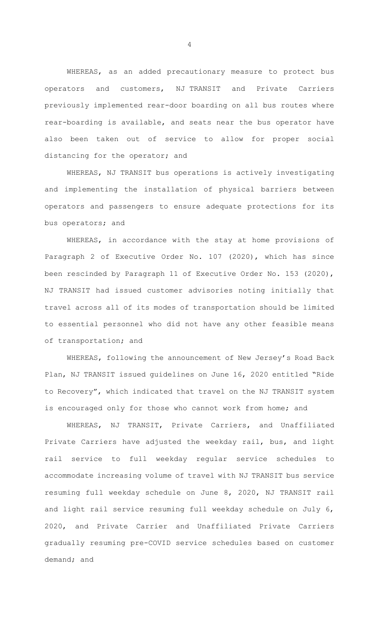WHEREAS, as an added precautionary measure to protect bus operators and customers, NJ TRANSIT and Private Carriers previously implemented rear-door boarding on all bus routes where rear-boarding is available, and seats near the bus operator have also been taken out of service to allow for proper social distancing for the operator; and

WHEREAS, NJ TRANSIT bus operations is actively investigating and implementing the installation of physical barriers between operators and passengers to ensure adequate protections for its bus operators; and

WHEREAS, in accordance with the stay at home provisions of Paragraph 2 of Executive Order No. 107 (2020), which has since been rescinded by Paragraph 11 of Executive Order No. 153 (2020), NJ TRANSIT had issued customer advisories noting initially that travel across all of its modes of transportation should be limited to essential personnel who did not have any other feasible means of transportation; and

WHEREAS, following the announcement of New Jersey's Road Back Plan, NJ TRANSIT issued guidelines on June 16, 2020 entitled "Ride to Recovery", which indicated that travel on the NJ TRANSIT system is encouraged only for those who cannot work from home; and

WHEREAS, NJ TRANSIT, Private Carriers, and Unaffiliated Private Carriers have adjusted the weekday rail, bus, and light rail service to full weekday regular service schedules to accommodate increasing volume of travel with NJ TRANSIT bus service resuming full weekday schedule on June 8, 2020, NJ TRANSIT rail and light rail service resuming full weekday schedule on July 6, 2020, and Private Carrier and Unaffiliated Private Carriers gradually resuming pre-COVID service schedules based on customer demand; and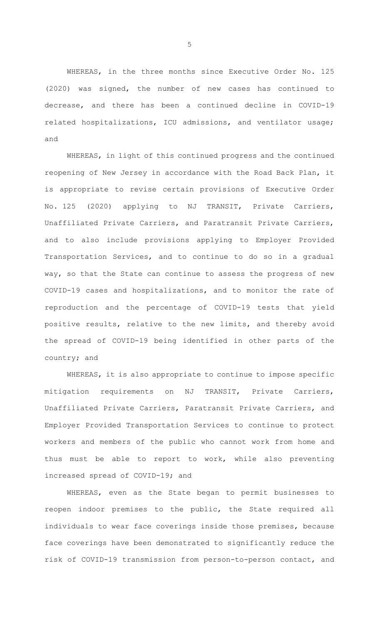WHEREAS, in the three months since Executive Order No. 125 (2020) was signed, the number of new cases has continued to decrease, and there has been a continued decline in COVID-19 related hospitalizations, ICU admissions, and ventilator usage; and

WHEREAS, in light of this continued progress and the continued reopening of New Jersey in accordance with the Road Back Plan, it is appropriate to revise certain provisions of Executive Order No. 125 (2020) applying to NJ TRANSIT, Private Carriers, Unaffiliated Private Carriers, and Paratransit Private Carriers, and to also include provisions applying to Employer Provided Transportation Services, and to continue to do so in a gradual way, so that the State can continue to assess the progress of new COVID-19 cases and hospitalizations, and to monitor the rate of reproduction and the percentage of COVID-19 tests that yield positive results, relative to the new limits, and thereby avoid the spread of COVID-19 being identified in other parts of the country; and

WHEREAS, it is also appropriate to continue to impose specific mitigation requirements on NJ TRANSIT, Private Carriers, Unaffiliated Private Carriers, Paratransit Private Carriers, and Employer Provided Transportation Services to continue to protect workers and members of the public who cannot work from home and thus must be able to report to work, while also preventing increased spread of COVID-19; and

WHEREAS, even as the State began to permit businesses to reopen indoor premises to the public, the State required all individuals to wear face coverings inside those premises, because face coverings have been demonstrated to significantly reduce the risk of COVID-19 transmission from person-to-person contact, and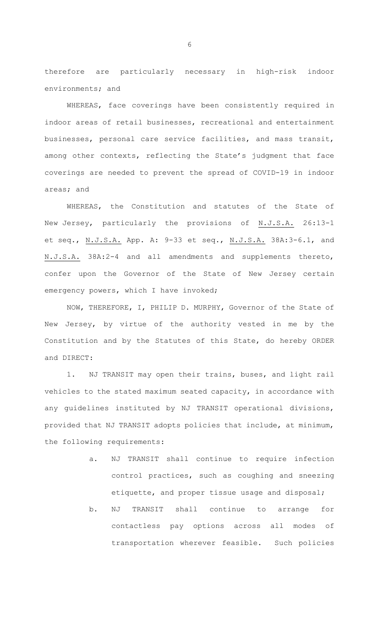therefore are particularly necessary in high-risk indoor environments; and

WHEREAS, face coverings have been consistently required in indoor areas of retail businesses, recreational and entertainment businesses, personal care service facilities, and mass transit, among other contexts, reflecting the State's judgment that face coverings are needed to prevent the spread of COVID-19 in indoor areas; and

WHEREAS, the Constitution and statutes of the State of New Jersey, particularly the provisions of N.J.S.A. 26:13-1 et seq., N.J.S.A. App. A: 9-33 et seq., N.J.S.A. 38A:3-6.1, and N.J.S.A. 38A:2-4 and all amendments and supplements thereto, confer upon the Governor of the State of New Jersey certain emergency powers, which I have invoked;

 NOW, THEREFORE, I, PHILIP D. MURPHY, Governor of the State of New Jersey, by virtue of the authority vested in me by the Constitution and by the Statutes of this State, do hereby ORDER and DIRECT:

1. NJ TRANSIT may open their trains, buses, and light rail vehicles to the stated maximum seated capacity, in accordance with any guidelines instituted by NJ TRANSIT operational divisions, provided that NJ TRANSIT adopts policies that include, at minimum, the following requirements:

- a. NJ TRANSIT shall continue to require infection control practices, such as coughing and sneezing etiquette, and proper tissue usage and disposal;
- b. NJ TRANSIT shall continue to arrange for contactless pay options across all modes of transportation wherever feasible. Such policies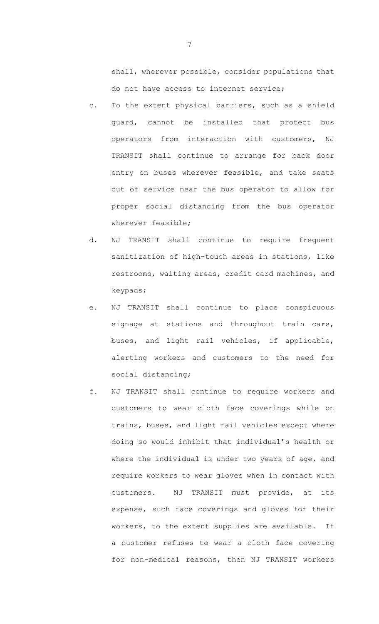shall, wherever possible, consider populations that do not have access to internet service;

- c. To the extent physical barriers, such as a shield guard, cannot be installed that protect bus operators from interaction with customers, NJ TRANSIT shall continue to arrange for back door entry on buses wherever feasible, and take seats out of service near the bus operator to allow for proper social distancing from the bus operator wherever feasible;
- d. NJ TRANSIT shall continue to require frequent sanitization of high-touch areas in stations, like restrooms, waiting areas, credit card machines, and keypads;
- e. NJ TRANSIT shall continue to place conspicuous signage at stations and throughout train cars, buses, and light rail vehicles, if applicable, alerting workers and customers to the need for social distancing;
- f. NJ TRANSIT shall continue to require workers and customers to wear cloth face coverings while on trains, buses, and light rail vehicles except where doing so would inhibit that individual's health or where the individual is under two years of age, and require workers to wear gloves when in contact with customers. NJ TRANSIT must provide, at its expense, such face coverings and gloves for their workers, to the extent supplies are available. If a customer refuses to wear a cloth face covering for non-medical reasons, then NJ TRANSIT workers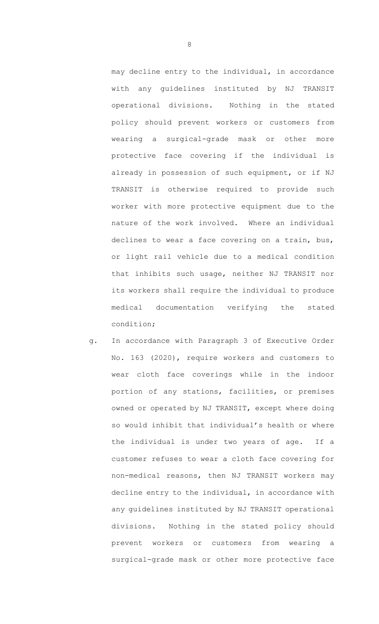may decline entry to the individual, in accordance with any guidelines instituted by NJ TRANSIT operational divisions. Nothing in the stated policy should prevent workers or customers from wearing a surgical-grade mask or other more protective face covering if the individual is already in possession of such equipment, or if NJ TRANSIT is otherwise required to provide such worker with more protective equipment due to the nature of the work involved. Where an individual declines to wear a face covering on a train, bus, or light rail vehicle due to a medical condition that inhibits such usage, neither NJ TRANSIT nor its workers shall require the individual to produce medical documentation verifying the stated condition;

g. In accordance with Paragraph 3 of Executive Order No. 163 (2020), require workers and customers to wear cloth face coverings while in the indoor portion of any stations, facilities, or premises owned or operated by NJ TRANSIT, except where doing so would inhibit that individual's health or where the individual is under two years of age. If a customer refuses to wear a cloth face covering for non-medical reasons, then NJ TRANSIT workers may decline entry to the individual, in accordance with any guidelines instituted by NJ TRANSIT operational divisions. Nothing in the stated policy should prevent workers or customers from wearing a surgical-grade mask or other more protective face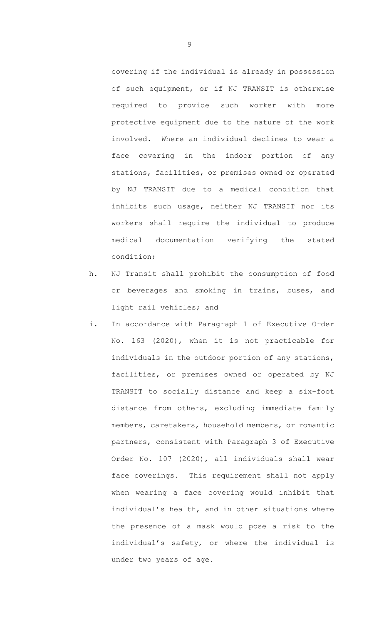covering if the individual is already in possession of such equipment, or if NJ TRANSIT is otherwise required to provide such worker with more protective equipment due to the nature of the work involved. Where an individual declines to wear a face covering in the indoor portion of any stations, facilities, or premises owned or operated by NJ TRANSIT due to a medical condition that inhibits such usage, neither NJ TRANSIT nor its workers shall require the individual to produce medical documentation verifying the stated condition;

- h. NJ Transit shall prohibit the consumption of food or beverages and smoking in trains, buses, and light rail vehicles; and
- i. In accordance with Paragraph 1 of Executive Order No. 163 (2020), when it is not practicable for individuals in the outdoor portion of any stations, facilities, or premises owned or operated by NJ TRANSIT to socially distance and keep a six-foot distance from others, excluding immediate family members, caretakers, household members, or romantic partners, consistent with Paragraph 3 of Executive Order No. 107 (2020), all individuals shall wear face coverings. This requirement shall not apply when wearing a face covering would inhibit that individual's health, and in other situations where the presence of a mask would pose a risk to the individual's safety, or where the individual is under two years of age.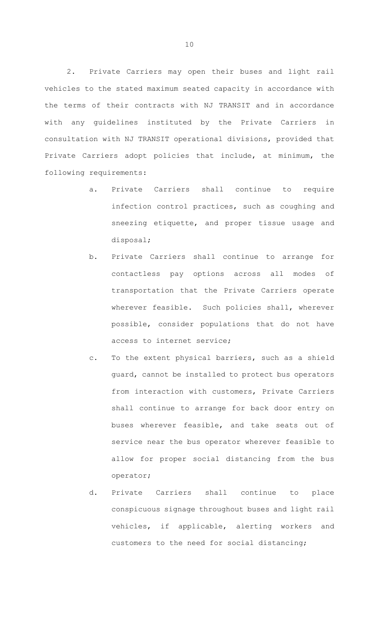2. Private Carriers may open their buses and light rail vehicles to the stated maximum seated capacity in accordance with the terms of their contracts with NJ TRANSIT and in accordance with any guidelines instituted by the Private Carriers in consultation with NJ TRANSIT operational divisions, provided that Private Carriers adopt policies that include, at minimum, the following requirements:

- a. Private Carriers shall continue to require infection control practices, such as coughing and sneezing etiquette, and proper tissue usage and disposal;
- b. Private Carriers shall continue to arrange for contactless pay options across all modes of transportation that the Private Carriers operate wherever feasible. Such policies shall, wherever possible, consider populations that do not have access to internet service;
- c. To the extent physical barriers, such as a shield guard, cannot be installed to protect bus operators from interaction with customers, Private Carriers shall continue to arrange for back door entry on buses wherever feasible, and take seats out of service near the bus operator wherever feasible to allow for proper social distancing from the bus operator;
- d. Private Carriers shall continue to place conspicuous signage throughout buses and light rail vehicles, if applicable, alerting workers and customers to the need for social distancing;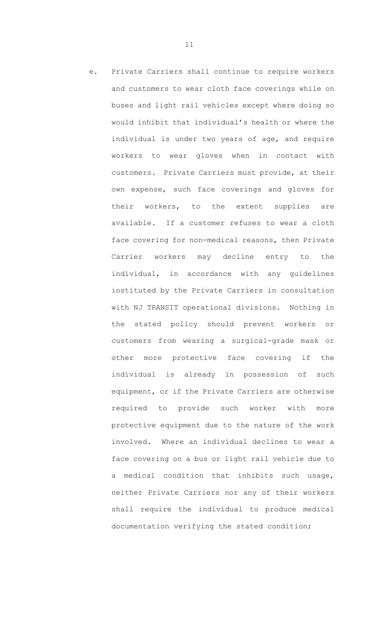e. Private Carriers shall continue to require workers and customers to wear cloth face coverings while on buses and light rail vehicles except where doing so would inhibit that individual's health or where the individual is under two years of age, and require workers to wear gloves when in contact with customers. Private Carriers must provide, at their own expense, such face coverings and gloves for their workers, to the extent supplies are available. If a customer refuses to wear a cloth face covering for non-medical reasons, then Private Carrier workers may decline entry to the individual, in accordance with any guidelines instituted by the Private Carriers in consultation with NJ TRANSIT operational divisions. Nothing in the stated policy should prevent workers or customers from wearing a surgical-grade mask or other more protective face covering if the individual is already in possession of such equipment, or if the Private Carriers are otherwise required to provide such worker with more protective equipment due to the nature of the work involved. Where an individual declines to wear a face covering on a bus or light rail vehicle due to a medical condition that inhibits such usage, neither Private Carriers nor any of their workers shall require the individual to produce medical documentation verifying the stated condition;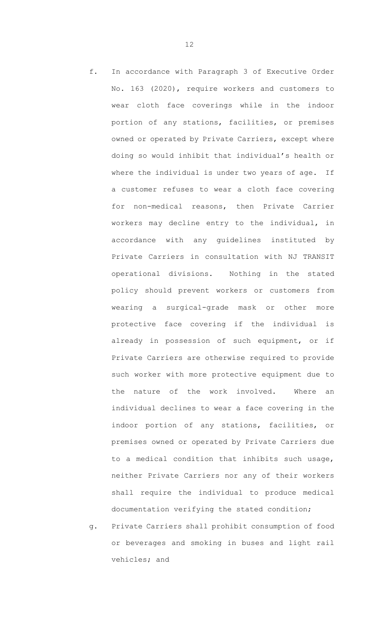- f. In accordance with Paragraph 3 of Executive Order No. 163 (2020), require workers and customers to wear cloth face coverings while in the indoor portion of any stations, facilities, or premises owned or operated by Private Carriers, except where doing so would inhibit that individual's health or where the individual is under two years of age. If a customer refuses to wear a cloth face covering for non-medical reasons, then Private Carrier workers may decline entry to the individual, in accordance with any guidelines instituted by Private Carriers in consultation with NJ TRANSIT operational divisions. Nothing in the stated policy should prevent workers or customers from wearing a surgical-grade mask or other more protective face covering if the individual is already in possession of such equipment, or if Private Carriers are otherwise required to provide such worker with more protective equipment due to the nature of the work involved. Where an individual declines to wear a face covering in the indoor portion of any stations, facilities, or premises owned or operated by Private Carriers due to a medical condition that inhibits such usage, neither Private Carriers nor any of their workers shall require the individual to produce medical documentation verifying the stated condition;
- g. Private Carriers shall prohibit consumption of food or beverages and smoking in buses and light rail vehicles; and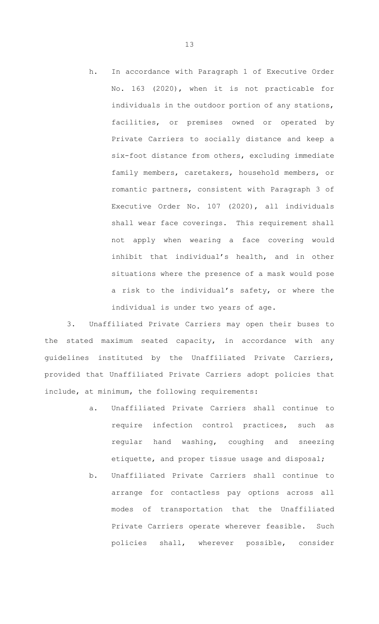h. In accordance with Paragraph 1 of Executive Order No. 163 (2020), when it is not practicable for individuals in the outdoor portion of any stations, facilities, or premises owned or operated by Private Carriers to socially distance and keep a six-foot distance from others, excluding immediate family members, caretakers, household members, or romantic partners, consistent with Paragraph 3 of Executive Order No. 107 (2020), all individuals shall wear face coverings. This requirement shall not apply when wearing a face covering would inhibit that individual's health, and in other situations where the presence of a mask would pose a risk to the individual's safety, or where the individual is under two years of age.

3. Unaffiliated Private Carriers may open their buses to the stated maximum seated capacity, in accordance with any guidelines instituted by the Unaffiliated Private Carriers, provided that Unaffiliated Private Carriers adopt policies that include, at minimum, the following requirements:

- a. Unaffiliated Private Carriers shall continue to require infection control practices, such as regular hand washing, coughing and sneezing etiquette, and proper tissue usage and disposal;
- b. Unaffiliated Private Carriers shall continue to arrange for contactless pay options across all modes of transportation that the Unaffiliated Private Carriers operate wherever feasible. Such policies shall, wherever possible, consider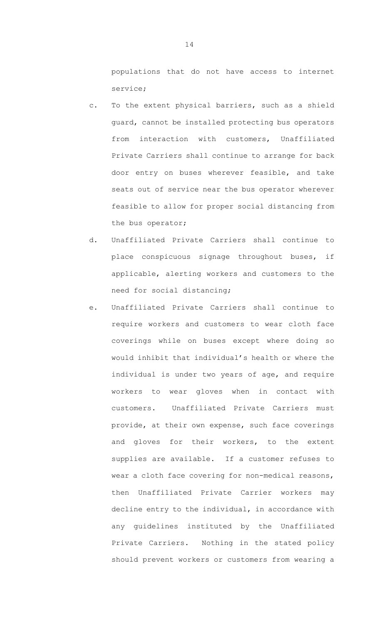populations that do not have access to internet service;

- c. To the extent physical barriers, such as a shield guard, cannot be installed protecting bus operators from interaction with customers, Unaffiliated Private Carriers shall continue to arrange for back door entry on buses wherever feasible, and take seats out of service near the bus operator wherever feasible to allow for proper social distancing from the bus operator;
- d. Unaffiliated Private Carriers shall continue to place conspicuous signage throughout buses, if applicable, alerting workers and customers to the need for social distancing;
- e. Unaffiliated Private Carriers shall continue to require workers and customers to wear cloth face coverings while on buses except where doing so would inhibit that individual's health or where the individual is under two years of age, and require workers to wear gloves when in contact with customers. Unaffiliated Private Carriers must provide, at their own expense, such face coverings and gloves for their workers, to the extent supplies are available. If a customer refuses to wear a cloth face covering for non-medical reasons, then Unaffiliated Private Carrier workers may decline entry to the individual, in accordance with any guidelines instituted by the Unaffiliated Private Carriers. Nothing in the stated policy should prevent workers or customers from wearing a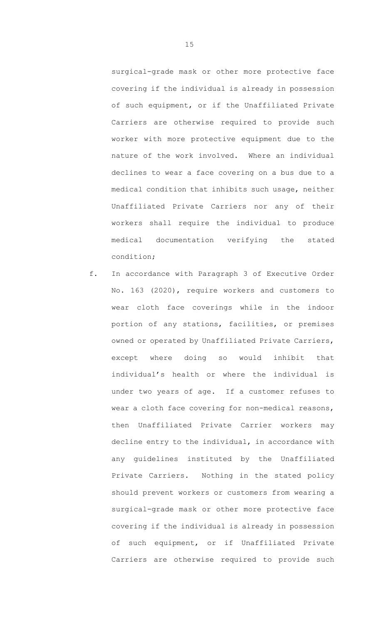surgical-grade mask or other more protective face covering if the individual is already in possession of such equipment, or if the Unaffiliated Private Carriers are otherwise required to provide such worker with more protective equipment due to the nature of the work involved. Where an individual declines to wear a face covering on a bus due to a medical condition that inhibits such usage, neither Unaffiliated Private Carriers nor any of their workers shall require the individual to produce medical documentation verifying the stated condition;

f. In accordance with Paragraph 3 of Executive Order No. 163 (2020), require workers and customers to wear cloth face coverings while in the indoor portion of any stations, facilities, or premises owned or operated by Unaffiliated Private Carriers, except where doing so would inhibit that individual's health or where the individual is under two years of age. If a customer refuses to wear a cloth face covering for non-medical reasons, then Unaffiliated Private Carrier workers may decline entry to the individual, in accordance with any guidelines instituted by the Unaffiliated Private Carriers. Nothing in the stated policy should prevent workers or customers from wearing a surgical-grade mask or other more protective face covering if the individual is already in possession of such equipment, or if Unaffiliated Private Carriers are otherwise required to provide such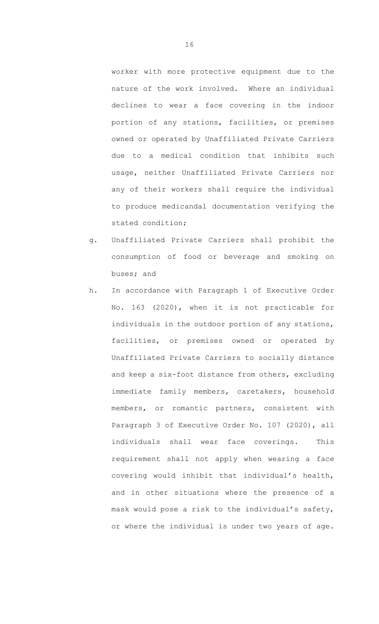worker with more protective equipment due to the nature of the work involved. Where an individual declines to wear a face covering in the indoor portion of any stations, facilities, or premises owned or operated by Unaffiliated Private Carriers due to a medical condition that inhibits such usage, neither Unaffiliated Private Carriers nor any of their workers shall require the individual to produce medicandal documentation verifying the stated condition;

- g. Unaffiliated Private Carriers shall prohibit the consumption of food or beverage and smoking on buses; and
- h. In accordance with Paragraph 1 of Executive Order No. 163 (2020), when it is not practicable for individuals in the outdoor portion of any stations, facilities, or premises owned or operated by Unaffiliated Private Carriers to socially distance and keep a six-foot distance from others, excluding immediate family members, caretakers, household members, or romantic partners, consistent with Paragraph 3 of Executive Order No. 107 (2020), all individuals shall wear face coverings. This requirement shall not apply when wearing a face covering would inhibit that individual's health, and in other situations where the presence of a mask would pose a risk to the individual's safety, or where the individual is under two years of age.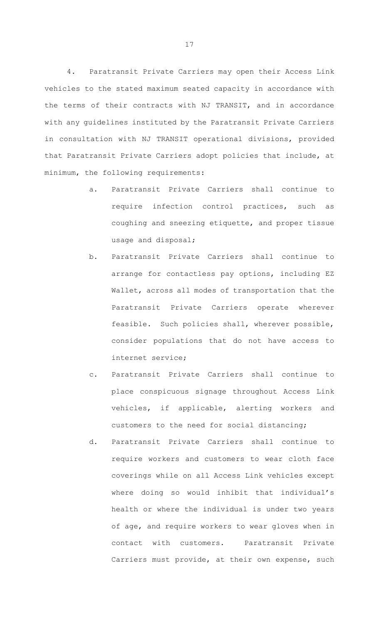4. Paratransit Private Carriers may open their Access Link vehicles to the stated maximum seated capacity in accordance with the terms of their contracts with NJ TRANSIT, and in accordance with any guidelines instituted by the Paratransit Private Carriers in consultation with NJ TRANSIT operational divisions, provided that Paratransit Private Carriers adopt policies that include, at minimum, the following requirements:

- a. Paratransit Private Carriers shall continue to require infection control practices, such as coughing and sneezing etiquette, and proper tissue usage and disposal;
- b. Paratransit Private Carriers shall continue to arrange for contactless pay options, including EZ Wallet, across all modes of transportation that the Paratransit Private Carriers operate wherever feasible. Such policies shall, wherever possible, consider populations that do not have access to internet service;
- c. Paratransit Private Carriers shall continue to place conspicuous signage throughout Access Link vehicles, if applicable, alerting workers and customers to the need for social distancing;
- d. Paratransit Private Carriers shall continue to require workers and customers to wear cloth face coverings while on all Access Link vehicles except where doing so would inhibit that individual's health or where the individual is under two years of age, and require workers to wear gloves when in contact with customers. Paratransit Private Carriers must provide, at their own expense, such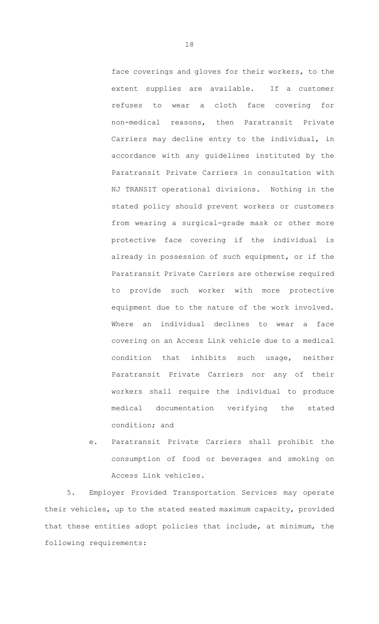face coverings and gloves for their workers, to the extent supplies are available. If a customer refuses to wear a cloth face covering for non-medical reasons, then Paratransit Private Carriers may decline entry to the individual, in accordance with any guidelines instituted by the Paratransit Private Carriers in consultation with NJ TRANSIT operational divisions. Nothing in the stated policy should prevent workers or customers from wearing a surgical-grade mask or other more protective face covering if the individual is already in possession of such equipment, or if the Paratransit Private Carriers are otherwise required to provide such worker with more protective equipment due to the nature of the work involved. Where an individual declines to wear a face covering on an Access Link vehicle due to a medical condition that inhibits such usage, neither Paratransit Private Carriers nor any of their workers shall require the individual to produce medical documentation verifying the stated condition; and

e. Paratransit Private Carriers shall prohibit the consumption of food or beverages and smoking on Access Link vehicles.

5. Employer Provided Transportation Services may operate their vehicles, up to the stated seated maximum capacity, provided that these entities adopt policies that include, at minimum, the following requirements: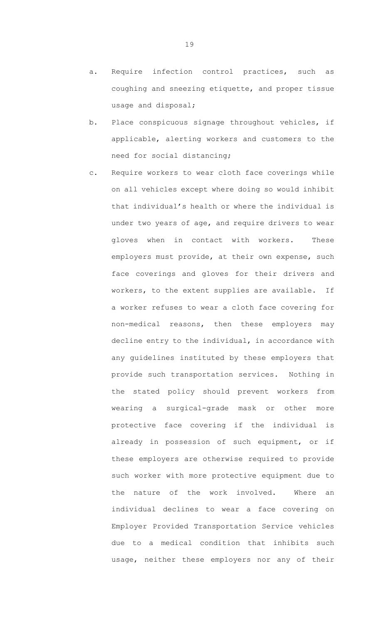- a. Require infection control practices, such as coughing and sneezing etiquette, and proper tissue usage and disposal;
- b. Place conspicuous signage throughout vehicles, if applicable, alerting workers and customers to the need for social distancing;
- c. Require workers to wear cloth face coverings while on all vehicles except where doing so would inhibit that individual's health or where the individual is under two years of age, and require drivers to wear gloves when in contact with workers. These employers must provide, at their own expense, such face coverings and gloves for their drivers and workers, to the extent supplies are available. If a worker refuses to wear a cloth face covering for non-medical reasons, then these employers may decline entry to the individual, in accordance with any guidelines instituted by these employers that provide such transportation services. Nothing in the stated policy should prevent workers from wearing a surgical-grade mask or other more protective face covering if the individual is already in possession of such equipment, or if these employers are otherwise required to provide such worker with more protective equipment due to the nature of the work involved. Where an individual declines to wear a face covering on Employer Provided Transportation Service vehicles due to a medical condition that inhibits such usage, neither these employers nor any of their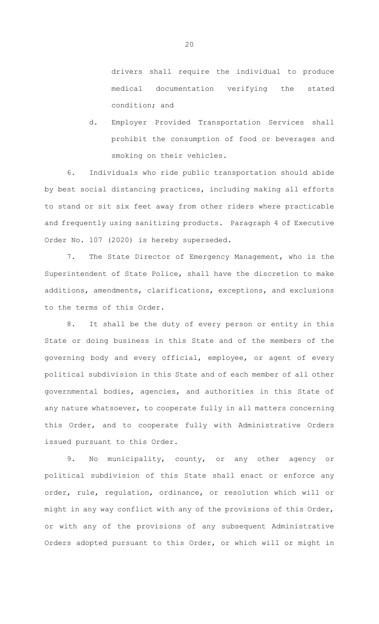drivers shall require the individual to produce medical documentation verifying the stated condition; and

d. Employer Provided Transportation Services shall prohibit the consumption of food or beverages and smoking on their vehicles.

6. Individuals who ride public transportation should abide by best social distancing practices, including making all efforts to stand or sit six feet away from other riders where practicable and frequently using sanitizing products. Paragraph 4 of Executive Order No. 107 (2020) is hereby superseded.

7. The State Director of Emergency Management, who is the Superintendent of State Police, shall have the discretion to make additions, amendments, clarifications, exceptions, and exclusions to the terms of this Order.

8. It shall be the duty of every person or entity in this State or doing business in this State and of the members of the governing body and every official, employee, or agent of every political subdivision in this State and of each member of all other governmental bodies, agencies, and authorities in this State of any nature whatsoever, to cooperate fully in all matters concerning this Order, and to cooperate fully with Administrative Orders issued pursuant to this Order.

9. No municipality, county, or any other agency or political subdivision of this State shall enact or enforce any order, rule, regulation, ordinance, or resolution which will or might in any way conflict with any of the provisions of this Order, or with any of the provisions of any subsequent Administrative Orders adopted pursuant to this Order, or which will or might in